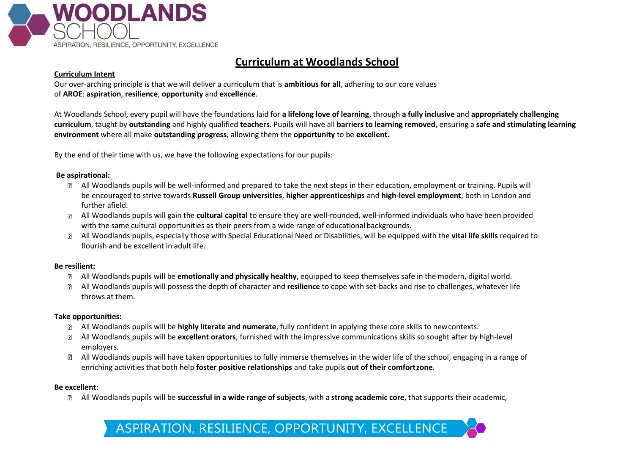

# **Curriculum at Woodlands School**

### **Curriculum Intent**

Our over-arching principle is that we will deliver a curriculum that is **ambitious for all**, adhering to our core values of **AROE**: **aspiration**, **resilience**, **opportunity** and **excellence**.

At Woodlands School, every pupil will have the foundations laid for **a lifelong love of learning**, through **a fully inclusive** and **appropriately challenging curriculum**, taught by **outstanding** and highly qualified **teachers**. Pupils will have all **barriers to learning removed**, ensuring a **safe and stimulating learning environment** where all make **outstanding progress**, allowing them the **opportunity** to be **excellent**.

By the end of their time with us, we have the following expectations for our pupils:

### **Be aspirational:**

- All Woodlands pupils will be well-informed and prepared to take the next steps in their education, employment or training. Pupils will be encouraged to strive towards **Russell Group universities**, **higher apprenticeships** and **high-level employment**, both in London and further afield.
- All Woodlands pupils will gain the **cultural capital** to ensure they are well-rounded, well-informed individuals who have been provided with the same cultural opportunities as their peers from a wide range of educational backgrounds.
- All Woodlands pupils, especially those with Special Educational Need or Disabilities, will be equipped with the **vital life skills** required to flourish and be excellent in adult life.

# **Be resilient:**

- All Woodlands pupils will be **emotionally and physically healthy**, equipped to keep themselves safe in the modern, digital world.
- All Woodlands pupils will possess the depth of character and **resilience** to cope with set-backs and rise to challenges, whatever life  $\overline{?}$ throws at them.

# **Take opportunities:**

- All Woodlands pupils will be **highly literate and numerate**, fully confident in applying these core skills to newcontexts.
- All Woodlands pupils will be **excellent orators**, furnished with the impressive communications skills so sought after by high-level employers.
- All Woodlands pupils will have taken opportunities to fully immerse themselves in the wider life of the school, engaging in a range of  $\mathbb{R}$ enriching activities that both help **foster positive relationships** and take pupils **out of their comfortzone**.

#### **Be excellent:**

All Woodlands pupils will be **successful in a wide range of subjects**, with a **strong academic core**, that supports their academic, $\boxed{2}$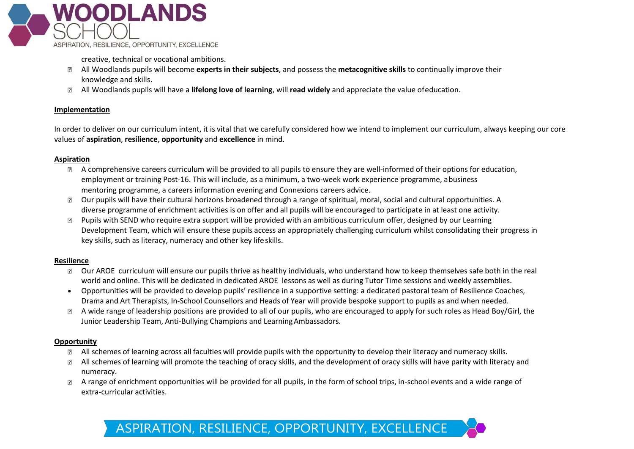

creative, technical or vocational ambitions.

- All Woodlands pupils will become **experts in their subjects**, and possess the **metacognitive skills** to continually improve their knowledge and skills.
- All Woodlands pupils will have a **lifelong love of learning**, will **read widely** and appreciate the value ofeducation.  $\overline{?}$

# **Implementation**

In order to deliver on our curriculum intent, it is vital that we carefully considered how we intend to implement our curriculum, always keeping our core values of **aspiration**, **resilience**, **opportunity** and **excellence** in mind.

# **Aspiration**

- A comprehensive careers curriculum will be provided to all pupils to ensure they are well-informed of their options for education, employment or training Post-16. This will include, as a minimum, a two-week work experience programme, abusiness mentoring programme, a careers information evening and Connexions careers advice.
- Our pupils will have their cultural horizons broadened through a range of spiritual, moral, social and cultural opportunities. A  $\boxed{?}$ diverse programme of enrichment activities is on offer and all pupils will be encouraged to participate in at least one activity.
- Pupils with SEND who require extra support will be provided with an ambitious curriculum offer, designed by our Learning  $\overline{2}$ Development Team, which will ensure these pupils access an appropriately challenging curriculum whilst consolidating their progress in key skills, such as literacy, numeracy and other key lifeskills.

# **Resilience**

- Our AROE curriculum will ensure our pupils thrive as healthy individuals, who understand how to keep themselves safe both in the real  $\overline{?}$ world and online. This will be dedicated in dedicated AROE lessons as well as during Tutor Time sessions and weekly assemblies.
- Opportunities will be provided to develop pupils' resilience in a supportive setting: a dedicated pastoral team of Resilience Coaches, Drama and Art Therapists, In-School Counsellors and Heads of Year will provide bespoke support to pupils as and when needed.
- A wide range of leadership positions are provided to all of our pupils, who are encouraged to apply for such roles as Head Boy/Girl, the Junior Leadership Team, Anti-Bullying Champions and LearningAmbassadors.

# **Opportunity**

- All schemes of learning across all faculties will provide pupils with the opportunity to develop their literacy and numeracy skills.
- All schemes of learning will promote the teaching of oracy skills, and the development of oracy skills will have parity with literacy and numeracy.
- A range of enrichment opportunities will be provided for all pupils, in the form of school trips, in-school events and a wide range of  $\overline{?}$ extra-curricular activities.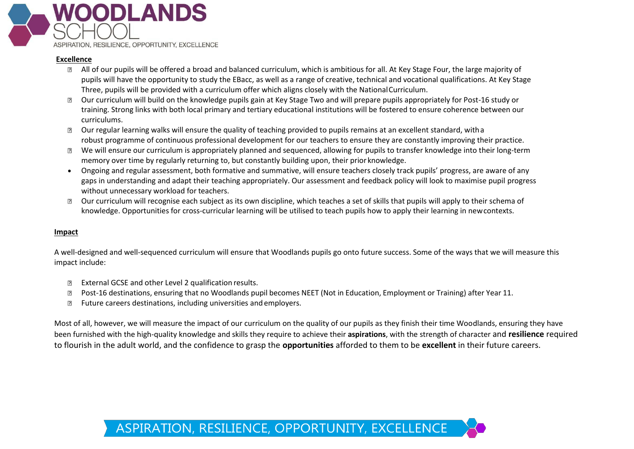

### **Excellence**

- All of our pupils will be offered a broad and balanced curriculum, which is ambitious for all. At Key Stage Four, the large majority of pupils will have the opportunity to study the EBacc, as well as a range of creative, technical and vocational qualifications. At Key Stage Three, pupils will be provided with a curriculum offer which aligns closely with the NationalCurriculum.
- Our curriculum will build on the knowledge pupils gain at Key Stage Two and will prepare pupils appropriately for Post-16 study or  $\boxed{2}$ training. Strong links with both local primary and tertiary educational institutions will be fostered to ensure coherence between our curriculums.
- Our regular learning walks will ensure the quality of teaching provided to pupils remains at an excellent standard, witha  $\overline{?}$ robust programme of continuous professional development for our teachers to ensure they are constantly improving their practice.
- We will ensure our curriculum is appropriately planned and sequenced, allowing for pupils to transfer knowledge into their long-term  $\overline{?}$ memory over time by regularly returning to, but constantly building upon, their priorknowledge.
- Ongoing and regular assessment, both formative and summative, will ensure teachers closely track pupils' progress, are aware of any gaps in understanding and adapt their teaching appropriately. Our assessment and feedback policy will look to maximise pupil progress without unnecessary workload for teachers.
- Our curriculum will recognise each subject as its own discipline, which teaches a set of skills that pupils will apply to their schema of  $\overline{?}$ knowledge. Opportunities for cross-curricular learning will be utilised to teach pupils how to apply their learning in newcontexts.

# **Impact**

A well-designed and well-sequenced curriculum will ensure that Woodlands pupils go onto future success. Some of the ways that we will measure this impact include:

- External GCSE and other Level 2 qualification results.  $\overline{2}$
- Post-16 destinations, ensuring that no Woodlands pupil becomes NEET (Not in Education, Employment or Training) after Year 11.  $\overline{?}$
- $\overline{?}$ Future careers destinations, including universities andemployers.

Most of all, however, we will measure the impact of our curriculum on the quality of our pupils as they finish their time Woodlands, ensuring they have been furnished with the high-quality knowledge and skills they require to achieve their **aspirations**, with the strength of character and **resilience** required to flourish in the adult world, and the confidence to grasp the **opportunities** afforded to them to be **excellent** in their future careers.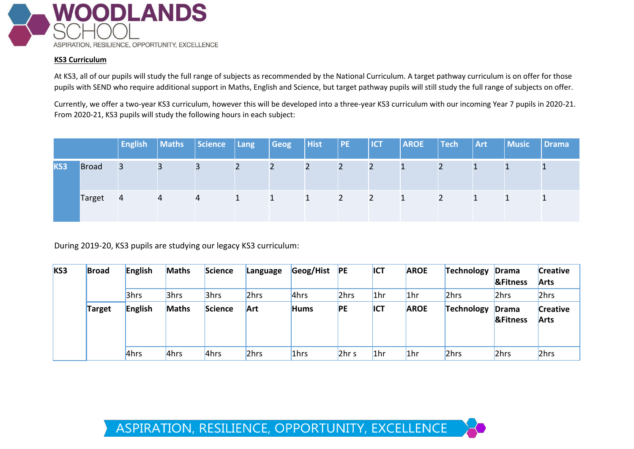

# **KS3 Curriculum**

At KS3, all of our pupils will study the full range of subjects as recommended by the National Curriculum. A target pathway curriculum is on offer for those pupils with SEND who require additional support in Maths, English and Science, but target pathway pupils will still study the full range of subjects on offer.

Currently, we offer a two-year KS3 curriculum, however this will be developed into a three-year KS3 curriculum with our incoming Year 7 pupils in 2020-21. From 2020-21, KS3 pupils will study the following hours in each subject:

|     |              | <b>English</b> | Maths | Science | Lang | Geog | <b>Hist</b> | PE | <b>ICT</b> | <b>AROE</b> | $ $ Tech | <b>Art</b> | <b>Music</b> | Drama |
|-----|--------------|----------------|-------|---------|------|------|-------------|----|------------|-------------|----------|------------|--------------|-------|
| KS3 | <b>Broad</b> | 3              | 3     | 3       | 2    |      |             |    |            |             |          |            |              |       |
|     | Target       | 4              | 4     | 4       |      |      |             |    | 2          |             |          |            |              |       |

During 2019-20, KS3 pupils are studying our legacy KS3 curriculum:

| KS3 | <b>Broad</b>  | English | <b>Maths</b> | Science | Language | Geog/Hist | PE               | <b>ICT</b>      | <b>AROE</b> | <b>Technology</b> | Drama<br><b>&amp;Fitness</b> | <b>Creative</b><br><b>Arts</b> |
|-----|---------------|---------|--------------|---------|----------|-----------|------------------|-----------------|-------------|-------------------|------------------------------|--------------------------------|
|     |               | 3hrs    | 3hrs         | 3hrs    | 2hrs     | 4hrs      | 2hrs             | 1 <sub>hr</sub> | 1hr         | 2hrs              | 2hrs                         | 2hrs                           |
|     | <b>Target</b> | English | <b>Maths</b> | Science | Art      | Hums      | <b>PE</b>        | ICT             | <b>AROE</b> | Technology        | Drama<br><b>&amp;Fitness</b> | <b>Creative</b><br><b>Arts</b> |
|     |               | 4hrs    | 4hrs         | 4hrs    | 2hrs     | 1hrs      | 2hr <sub>s</sub> | 1 <sub>hr</sub> | 1hr         | 2hrs              | 2hrs                         | 2hrs                           |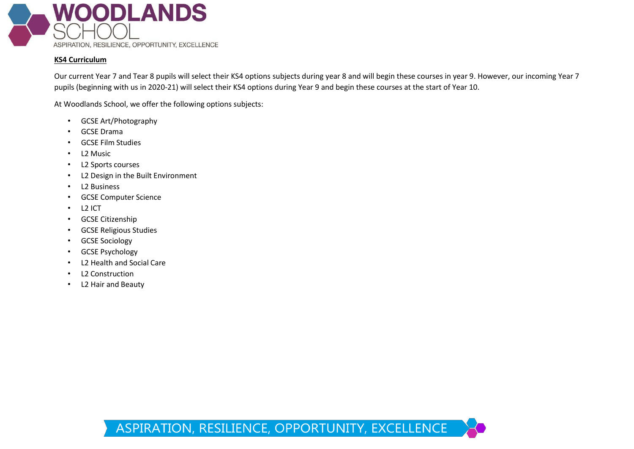

# **KS4 Curriculum**

Our current Year 7 and Tear 8 pupils will select their KS4 options subjects during year 8 and will begin these courses in year 9. However, our incoming Year 7 pupils (beginning with us in 2020-21) will select their KS4 options during Year 9 and begin these courses at the start of Year 10.

At Woodlands School, we offer the following options subjects:

- GCSE Art/Photography
- GCSE Drama
- GCSE Film Studies
- L2 Music
- L2 Sports courses
- L2 Design in the Built Environment
- L2 Business
- GCSE Computer Science
- L2 ICT
- GCSE Citizenship
- GCSE Religious Studies
- GCSE Sociology
- GCSE Psychology
- L2 Health and Social Care
- L2 Construction
- L2 Hair and Beauty

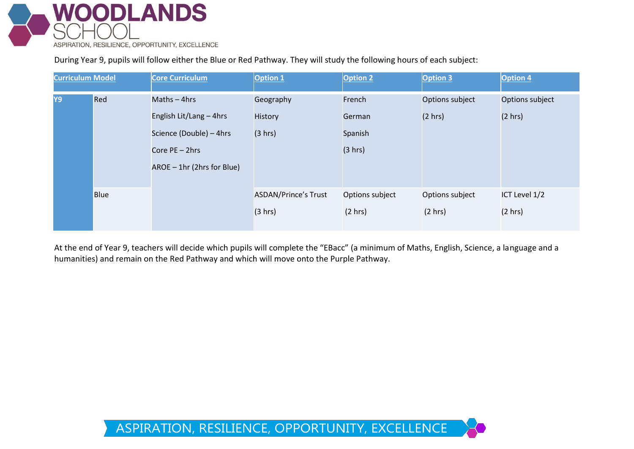

During Year 9, pupils will follow either the Blue or Red Pathway. They will study the following hours of each subject:

| <b>Curriculum Model</b> |             | <b>Core Curriculum</b>     | <b>Option 1</b>             | <b>Option 2</b> | Option 3        | <b>Option 4</b> |  |
|-------------------------|-------------|----------------------------|-----------------------------|-----------------|-----------------|-----------------|--|
| Y9                      | Red         | Maths $-$ 4hrs             | Geography                   | French          | Options subject | Options subject |  |
|                         |             | English Lit/Lang - 4hrs    | History                     | German          | (2 hr)          | (2 hrs)         |  |
|                         |             | Science (Double) - 4hrs    | (3 hrs)                     | Spanish         |                 |                 |  |
|                         |             | Core PE - 2hrs             |                             | (3 hrs)         |                 |                 |  |
|                         |             | AROE - 1hr (2hrs for Blue) |                             |                 |                 |                 |  |
|                         | <b>Blue</b> |                            | <b>ASDAN/Prince's Trust</b> | Options subject | Options subject | ICT Level 1/2   |  |
|                         |             |                            | (3 hrs)                     | (2 hrs)         | (2 hr)          | (2 hr)          |  |
|                         |             |                            |                             |                 |                 |                 |  |

At the end of Year 9, teachers will decide which pupils will complete the "EBacc" (a minimum of Maths, English, Science, a language and a humanities) and remain on the Red Pathway and which will move onto the Purple Pathway.

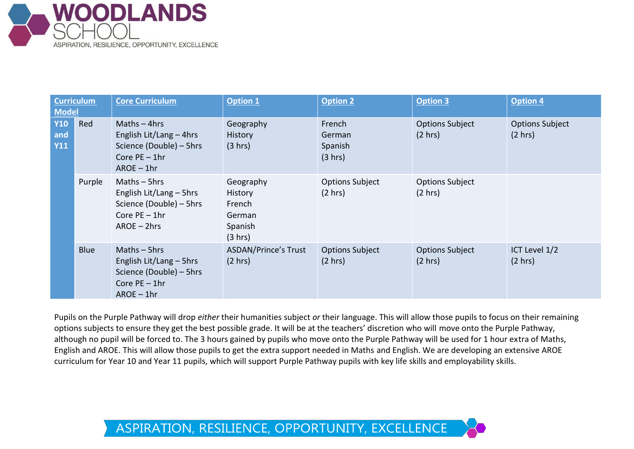

| <b>Curriculum</b><br><b>Model</b> |             | <b>Core Curriculum</b>                                                                                    | <b>Option 1</b>                                                | <b>Option 2</b>                             | <b>Option 3</b>                   | <b>Option 4</b>                             |
|-----------------------------------|-------------|-----------------------------------------------------------------------------------------------------------|----------------------------------------------------------------|---------------------------------------------|-----------------------------------|---------------------------------------------|
| <b>Y10</b><br>and<br><b>Y11</b>   | Red         | Maths $-$ 4hrs<br>English Lit/Lang - 4hrs<br>Science (Double) - 5hrs<br>Core $PE - 1hr$<br>$AROE - 1hr$   | Geography<br><b>History</b><br>(3 hrs)                         | French<br>German<br>Spanish<br>(3 hrs)      | <b>Options Subject</b><br>(2 hrs) | <b>Options Subject</b><br>$(2 \text{ hrs})$ |
|                                   | Purple      | Maths $-$ 5hrs<br>English Lit/Lang - 5hrs<br>Science (Double) - 5hrs<br>Core $PE - 1hr$<br>$AROE - 2hrs$  | Geography<br>History<br>French<br>German<br>Spanish<br>(3 hrs) | <b>Options Subject</b><br>$(2 \text{ hrs})$ | <b>Options Subject</b><br>(2 hrs) |                                             |
|                                   | <b>Blue</b> | Maths $-$ 5hrs<br>English Lit/Lang $-$ 5hrs<br>Science (Double) - 5hrs<br>Core $PE - 1hr$<br>$AROE - 1hr$ | <b>ASDAN/Prince's Trust</b><br>(2 hrs)                         | <b>Options Subject</b><br>(2 hrs)           | <b>Options Subject</b><br>(2 hrs) | ICT Level 1/2<br>(2 hr)                     |

Pupils on the Purple Pathway will drop *either* their humanities subject *or* their language. This will allow those pupils to focus on their remaining options subjects to ensure they get the best possible grade. It will be at the teachers' discretion who will move onto the Purple Pathway, although no pupil will be forced to. The 3 hours gained by pupils who move onto the Purple Pathway will be used for 1 hour extra of Maths, English and AROE. This will allow those pupils to get the extra support needed in Maths and English. We are developing an extensive AROE curriculum for Year 10 and Year 11 pupils, which will support Purple Pathway pupils with key life skills and employability skills.